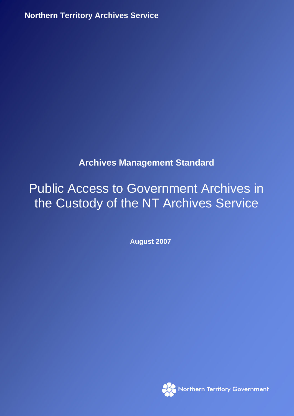**Northern Territory Archives Service**

## **Archives Management Standard**

# Public Access to Government Archives in the Custody of the NT Archives Service

**August 2007** 

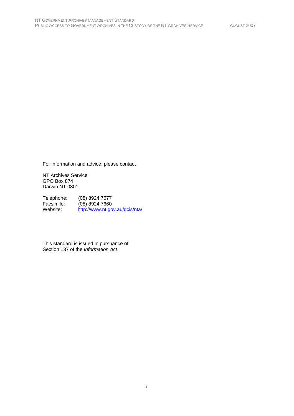For information and advice, please contact

NT Archives Service GPO Box 874 Darwin NT 0801

Telephone: (08) 8924 7677<br>Facsimile: (08) 8924 7660 Facsimile: (08) 8924 7660<br>Website: http://www.nt.go http://www.nt.gov.au/dcis/nta/

This standard is issued in pursuance of Section 137 of the *Information Act*.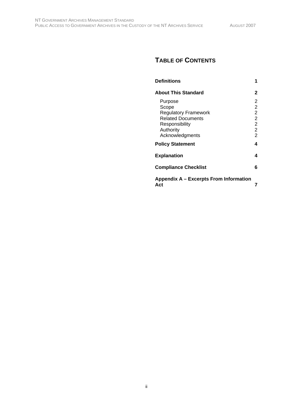## **TABLE OF CONTENTS**

| <b>Definitions</b>                                                                                                            |                                                                                                  |
|-------------------------------------------------------------------------------------------------------------------------------|--------------------------------------------------------------------------------------------------|
| <b>About This Standard</b>                                                                                                    | 2                                                                                                |
| Purpose<br>Scope<br><b>Regulatory Framework</b><br><b>Related Documents</b><br>Responsibility<br>Authority<br>Acknowledgments | 2<br>$\overline{2}$<br>$\overline{2}$<br>$\overline{2}$<br>$\overline{2}$<br>$\overline{2}$<br>2 |
| <b>Policy Statement</b>                                                                                                       | 4                                                                                                |
| <b>Explanation</b>                                                                                                            | 4                                                                                                |
| <b>Compliance Checklist</b>                                                                                                   | 6                                                                                                |
| Appendix A – Excerpts From Information<br>Act                                                                                 |                                                                                                  |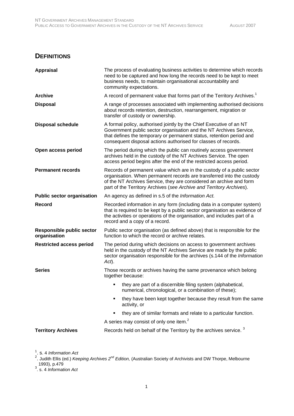### **DEFINITIONS**

| <b>Appraisal</b>                                 | The process of evaluating business activities to determine which records<br>need to be captured and how long the records need to be kept to meet<br>business needs, to maintain organisational accountability and<br>community expectations.                                                   |
|--------------------------------------------------|------------------------------------------------------------------------------------------------------------------------------------------------------------------------------------------------------------------------------------------------------------------------------------------------|
| <b>Archive</b>                                   | A record of permanent value that forms part of the Territory Archives. <sup>1</sup>                                                                                                                                                                                                            |
| <b>Disposal</b>                                  | A range of processes associated with implementing authorised decisions<br>about records retention, destruction, rearrangement, migration or<br>transfer of custody or ownership.                                                                                                               |
| <b>Disposal schedule</b>                         | A formal policy, authorised jointly by the Chief Executive of an NT<br>Government public sector organisation and the NT Archives Service,<br>that defines the temporary or permanent status, retention period and<br>consequent disposal actions authorised for classes of records.            |
| Open access period                               | The period during which the public can routinely access government<br>archives held in the custody of the NT Archives Service. The open<br>access period begins after the end of the restricted access period.                                                                                 |
| <b>Permanent records</b>                         | Records of permanent value which are in the custody of a public sector<br>organisation. When permanent records are transferred into the custody<br>of the NT Archives Service, they are considered an archive and form<br>part of the Territory Archives (see Archive and Territory Archives). |
| <b>Public sector organisation</b>                | An agency as defined in s.5 of the Information Act.                                                                                                                                                                                                                                            |
| Record                                           | Recorded information in any form (including data in a computer system)<br>that is required to be kept by a public sector organisation as evidence of<br>the activities or operations of the organisation, and includes part of a<br>record and a copy of a record.                             |
| <b>Responsible public sector</b><br>organisation | Public sector organisation (as defined above) that is responsible for the<br>function to which the record or archive relates.                                                                                                                                                                  |
| <b>Restricted access period</b>                  | The period during which decisions on access to government archives<br>held in the custody of the NT Archives Service are made by the public<br>sector organisation responsible for the archives (s.144 of the Information<br>Act).                                                             |
| <b>Series</b>                                    | Those records or archives having the same provenance which belong<br>together because:                                                                                                                                                                                                         |
|                                                  | they are part of a discernible filing system (alphabetical,<br>numerical, chronological, or a combination of these);                                                                                                                                                                           |
|                                                  | they have been kept together because they result from the same<br>activity, or                                                                                                                                                                                                                 |
|                                                  | they are of similar formats and relate to a particular function.                                                                                                                                                                                                                               |
|                                                  | A series may consist of only one item. <sup>2</sup>                                                                                                                                                                                                                                            |
| <b>Territory Archives</b>                        | Records held on behalf of the Territory by the archives service. <sup>3</sup>                                                                                                                                                                                                                  |

<sup>1</sup>. s. 4 *Information Act*<br><sup>2</sup>. Judith Ellis (ed.) *Keeping Archives 2<sup>nd</sup> Edition,* (Australian Society of Archivists and DW Thorpe, Melbourne 1993), p.479 3 . s. 4 *Information Act*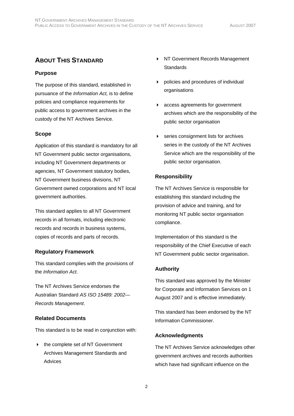## **ABOUT THIS STANDARD**

#### **Purpose**

The purpose of this standard, established in pursuance of the *Information Act,* is to define policies and compliance requirements for public access to government archives in the custody of the NT Archives Service.

#### **Scope**

Application of this standard is mandatory for all NT Government public sector organisations, including NT Government departments or agencies, NT Government statutory bodies, NT Government business divisions, NT Government owned corporations and NT local government authorities.

This standard applies to all NT Government records in all formats, including electronic records and records in business systems, copies of records and parts of records.

#### **Regulatory Framework**

This standard complies with the provisions of the *Information Act*.

The NT Archives Service endorses the Australian Standard *AS ISO 15489: 2002— Records Management*.

#### **Related Documents**

This standard is to be read in conjunction with:

▶ the complete set of NT Government Archives Management Standards and Advices

- ▶ NT Government Records Management **Standards**
- policies and procedures of individual organisations
- access agreements for government archives which are the responsibility of the public sector organisation
- **EXEC** series consignment lists for archives series in the custody of the NT Archives Service which are the responsibility of the public sector organisation.

#### **Responsibility**

The NT Archives Service is responsible for establishing this standard including the provision of advice and training, and for monitoring NT public sector organisation compliance.

Implementation of this standard is the responsibility of the Chief Executive of each NT Government public sector organisation.

#### **Authority**

This standard was approved by the Minister for Corporate and Information Services on 1 August 2007 and is effective immediately.

This standard has been endorsed by the NT Information Commissioner.

#### **Acknowledgments**

The NT Archives Service acknowledges other government archives and records authorities which have had significant influence on the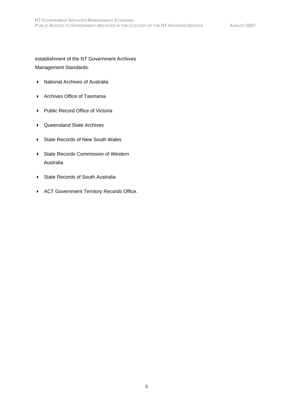establishment of the NT Government Archives Management Standards:

- ▶ National Archives of Australia
- Archives Office of Tasmania
- ▶ Public Record Office of Victoria
- Queensland State Archives
- ▶ State Records of New South Wales
- ▶ State Records Commission of Western Australia
- State Records of South Australia
- ACT Government Territory Records Office.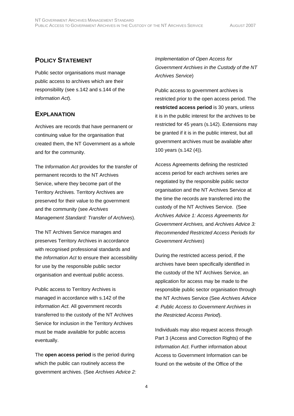## **POLICY STATEMENT**

Public sector organisations must manage public access to archives which are their responsibility (see s.142 and s.144 of the *Information Act*).

## **EXPLANATION**

Archives are records that have permanent or continuing value for the organisation that created them, the NT Government as a whole and for the community.

The *Information Act* provides for the transfer of permanent records to the NT Archives Service, where they become part of the Territory Archives. Territory Archives are preserved for their value to the government and the community (see *Archives Management Standard: Transfer of Archives*).

The NT Archives Service manages and preserves Territory Archives in accordance with recognised professional standards and the *Information Act* to ensure their accessibility for use by the responsible public sector organisation and eventual public access.

Public access to Territory Archives is managed in accordance with s.142 of the *Information Act*. All government records transferred to the custody of the NT Archives Service for inclusion in the Territory Archives must be made available for public access eventually.

The **open access period** is the period during which the public can routinely access the government archives. (See *Archives Advice 2:* 

*Implementation of Open Access for Government Archives in the Custody of the NT Archives Service*)

Public access to government archives is restricted prior to the open access period. The **restricted access period** is 30 years, unless it is in the public interest for the archives to be restricted for 45 years (s.142). Extensions may be granted if it is in the public interest, but all government archives must be available after 100 years (s.142 (4)).

Access Agreements defining the restricted access period for each archives series are negotiated by the responsible public sector organisation and the NT Archives Service at the time the records are transferred into the custody of the NT Archives Service. (See *Archives Advice 1: Access Agreements for Government Archives,* and *Archives Advice 3: Recommended Restricted Access Periods for Government Archives*)

During the restricted access period, if the archives have been specifically identified in the custody of the NT Archives Service, an application for access may be made to the responsible public sector organisation through the NT Archives Service (See *Archives Advice 4: Public Access to Government Archives in the Restricted Access Period*).

Individuals may also request access through Part 3 (Access and Correction Rights) of the *Information Act*. Further information about Access to Government Information can be found on the website of the Office of the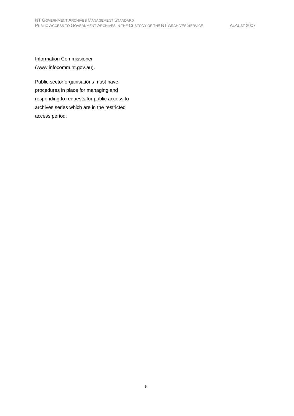Information Commissioner (www.infocomm.nt.gov.au).

Public sector organisations must have procedures in place for managing and responding to requests for public access to archives series which are in the restricted access period.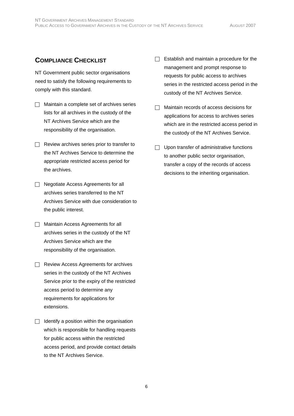## **COMPLIANCE CHECKLIST**

NT Government public sector organisations need to satisfy the following requirements to comply with this standard.

- $\Box$  Maintain a complete set of archives series lists for all archives in the custody of the NT Archives Service which are the responsibility of the organisation.
- $\Box$  Review archives series prior to transfer to the NT Archives Service to determine the appropriate restricted access period for the archives.
- $\Box$  Negotiate Access Agreements for all archives series transferred to the NT Archives Service with due consideration to the public interest.
- $\Box$  Maintain Access Agreements for all archives series in the custody of the NT Archives Service which are the responsibility of the organisation.
- $\Box$  Review Access Agreements for archives series in the custody of the NT Archives Service prior to the expiry of the restricted access period to determine any requirements for applications for extensions.
- $\Box$  Identify a position within the organisation which is responsible for handling requests for public access within the restricted access period, and provide contact details to the NT Archives Service.
- $\Box$  Establish and maintain a procedure for the management and prompt response to requests for public access to archives series in the restricted access period in the custody of the NT Archives Service.
- $\Box$  Maintain records of access decisions for applications for access to archives series which are in the restricted access period in the custody of the NT Archives Service.
- $\Box$  Upon transfer of administrative functions to another public sector organisation, transfer a copy of the records of access decisions to the inheriting organisation.